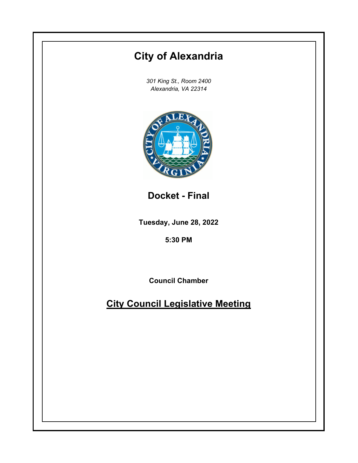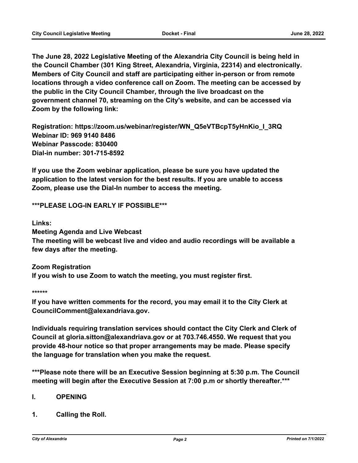**The June 28, 2022 Legislative Meeting of the Alexandria City Council is being held in the Council Chamber (301 King Street, Alexandria, Virginia, 22314) and electronically. Members of City Council and staff are participating either in-person or from remote locations through a video conference call on Zoom. The meeting can be accessed by the public in the City Council Chamber, through the live broadcast on the government channel 70, streaming on the City's website, and can be accessed via Zoom by the following link:**

**Registration: https://zoom.us/webinar/register/WN\_Q5eVTBcpT5yHnKio\_I\_3RQ Webinar ID: 969 9140 8486 Webinar Passcode: 830400 Dial-in number: 301-715-8592**

**If you use the Zoom webinar application, please be sure you have updated the application to the latest version for the best results. If you are unable to access Zoom, please use the Dial-In number to access the meeting.**

**\*\*\*PLEASE LOG-IN EARLY IF POSSIBLE\*\*\***

**Links:**

**Meeting Agenda and Live Webcast**

**The meeting will be webcast live and video and audio recordings will be available a few days after the meeting.**

**Zoom Registration If you wish to use Zoom to watch the meeting, you must register first.**

**\*\*\*\*\*\***

**If you have written comments for the record, you may email it to the City Clerk at CouncilComment@alexandriava.gov.**

**Individuals requiring translation services should contact the City Clerk and Clerk of Council at gloria.sitton@alexandriava.gov or at 703.746.4550. We request that you provide 48-hour notice so that proper arrangements may be made. Please specify the language for translation when you make the request.**

**\*\*\*Please note there will be an Executive Session beginning at 5:30 p.m. The Council meeting will begin after the Executive Session at 7:00 p.m or shortly thereafter.\*\*\***

### **I. OPENING**

**1. Calling the Roll.**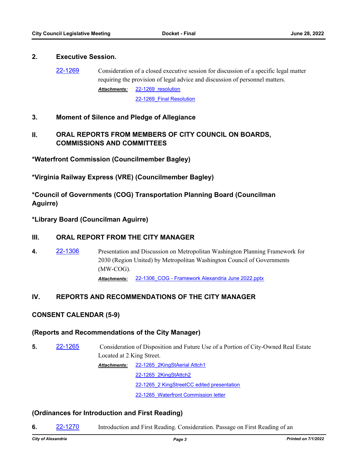#### **2. Executive Session.**

[22-1269](http://alexandria.legistar.com/gateway.aspx?m=l&id=/matter.aspx?key=14867) Consideration of a closed executive session for discussion of a specific legal matter requiring the provision of legal advice and discussion of personnel matters.

> 22-1269 resolution [22-1269\\_Final Resolution](http://alexandria.legistar.com/gateway.aspx?M=F&ID=549661b9-e045-4583-94d0-187d57635501.pdf) *Attachments:*

## **3. Moment of Silence and Pledge of Allegiance**

# **II. ORAL REPORTS FROM MEMBERS OF CITY COUNCIL ON BOARDS, COMMISSIONS AND COMMITTEES**

**\*Waterfront Commission (Councilmember Bagley)**

**\*Virginia Railway Express (VRE) (Councilmember Bagley)**

**\*Council of Governments (COG) Transportation Planning Board (Councilman Aguirre)**

**\*Library Board (Councilman Aguirre)**

### **III. ORAL REPORT FROM THE CITY MANAGER**

**4.** [22-1306](http://alexandria.legistar.com/gateway.aspx?m=l&id=/matter.aspx?key=14904) Presentation and Discussion on Metropolitan Washington Planning Framework for 2030 (Region United) by Metropolitan Washington Council of Governments (MW-COG). *Attachments:* [22-1306\\_COG - Framework Alexandria June 2022.pptx](http://alexandria.legistar.com/gateway.aspx?M=F&ID=6bbfb85f-fe9d-42dd-a5b4-66d821863b00.pptx)

## **IV. REPORTS AND RECOMMENDATIONS OF THE CITY MANAGER**

## **CONSENT CALENDAR (5-9)**

### **(Reports and Recommendations of the City Manager)**

**5.** [22-1265](http://alexandria.legistar.com/gateway.aspx?m=l&id=/matter.aspx?key=14863) Consideration of Disposition and Future Use of a Portion of City-Owned Real Estate Located at 2 King Street. [22-1265\\_2KingStAerial Attch1](http://alexandria.legistar.com/gateway.aspx?M=F&ID=e6bd77ab-876c-4e81-b1e7-db6098399725.docx) *Attachments:* [22-1265\\_2KingStAttch2](http://alexandria.legistar.com/gateway.aspx?M=F&ID=79dbd5bc-a396-4eb5-a33c-88609e73e17f.docx)

22-1265 2 KingStreetCC edited presentation

[22-1265\\_Waterfront Commission letter](http://alexandria.legistar.com/gateway.aspx?M=F&ID=7ed358b9-3d54-4530-9346-7fd1c86f56da.pdf)

### **(Ordinances for Introduction and First Reading)**

**6.** [22-1270](http://alexandria.legistar.com/gateway.aspx?m=l&id=/matter.aspx?key=14868) Introduction and First Reading. Consideration. Passage on First Reading of an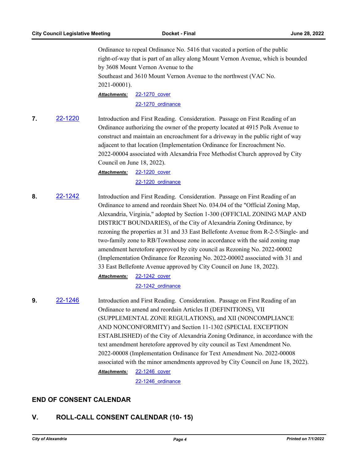Ordinance to repeal Ordinance No. 5416 that vacated a portion of the public right-of-way that is part of an alley along Mount Vernon Avenue, which is bounded by 3608 Mount Vernon Avenue to the Southeast and 3610 Mount Vernon Avenue to the northwest (VAC No. 2021-00001).

[22-1270\\_cover](http://alexandria.legistar.com/gateway.aspx?M=F&ID=ae4f91c8-ee1f-459a-95aa-ce7ba338064e.doc) [22-1270\\_ordinance](http://alexandria.legistar.com/gateway.aspx?M=F&ID=f7bb4ee8-fed1-4d13-b737-bd9e1955e075.docx) *Attachments:*

**7.** [22-1220](http://alexandria.legistar.com/gateway.aspx?m=l&id=/matter.aspx?key=14818) Introduction and First Reading. Consideration. Passage on First Reading of an Ordinance authorizing the owner of the property located at 4915 Polk Avenue to construct and maintain an encroachment for a driveway in the public right of way adjacent to that location (Implementation Ordinance for Encroachment No. 2022-00004 associated with Alexandria Free Methodist Church approved by City Council on June 18, 2022).

#### [22-1220\\_cover](http://alexandria.legistar.com/gateway.aspx?M=F&ID=75d5e46f-5dbe-46f5-9b00-f9483bb8ac27.doc) [22-1220\\_ordinance](http://alexandria.legistar.com/gateway.aspx?M=F&ID=890bdfb0-abe2-440b-93a3-1128920fd3ee.pdf) *Attachments:*

**8.** [22-1242](http://alexandria.legistar.com/gateway.aspx?m=l&id=/matter.aspx?key=14840) Introduction and First Reading. Consideration. Passage on First Reading of an Ordinance to amend and reordain Sheet No. 034.04 of the "Official Zoning Map, Alexandria, Virginia," adopted by Section 1-300 (OFFICIAL ZONING MAP AND DISTRICT BOUNDARIES), of the City of Alexandria Zoning Ordinance, by rezoning the properties at 31 and 33 East Bellefonte Avenue from R-2-5/Single- and two-family zone to RB/Townhouse zone in accordance with the said zoning map amendment heretofore approved by city council as Rezoning No. 2022-00002 (Implementation Ordinance for Rezoning No. 2022-00002 associated with 31 and 33 East Bellefonte Avenue approved by City Council on June 18, 2022). [22-1242\\_cover](http://alexandria.legistar.com/gateway.aspx?M=F&ID=cae8fb62-b687-472a-a8f0-49dfaade3c16.doc) *Attachments:*

[22-1242\\_ordinance](http://alexandria.legistar.com/gateway.aspx?M=F&ID=0cb124dc-6ffc-4599-b4bc-a50c546bc7cc.doc)

**9.** [22-1246](http://alexandria.legistar.com/gateway.aspx?m=l&id=/matter.aspx?key=14844) Introduction and First Reading. Consideration. Passage on First Reading of an Ordinance to amend and reordain Articles II (DEFINITIONS), VII (SUPPLEMENTAL ZONE REGULATIONS), and XII (NONCOMPLIANCE AND NONCONFORMITY) and Section 11-1302 (SPECIAL EXCEPTION ESTABLISHED) of the City of Alexandria Zoning Ordinance, in accordance with the text amendment heretofore approved by city council as Text Amendment No. 2022-00008 (Implementation Ordinance for Text Amendment No. 2022-00008 associated with the minor amendments approved by City Council on June 18, 2022). [22-1246\\_cover](http://alexandria.legistar.com/gateway.aspx?M=F&ID=0b704320-71b9-4b0b-8fe5-201914538d5c.doc) *Attachments:*

[22-1246\\_ordinance](http://alexandria.legistar.com/gateway.aspx?M=F&ID=38e07c77-c8f9-4fec-93c1-273a2aa42de6.doc)

## **END OF CONSENT CALENDAR**

# **V. ROLL-CALL CONSENT CALENDAR (10- 15)**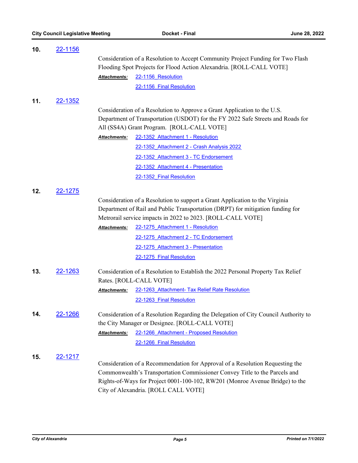| 10. | <u>22-1156</u> |                                                                                     |                                                                                 |  |
|-----|----------------|-------------------------------------------------------------------------------------|---------------------------------------------------------------------------------|--|
|     |                | Consideration of a Resolution to Accept Community Project Funding for Two Flash     |                                                                                 |  |
|     |                | Flooding Spot Projects for Flood Action Alexandria. [ROLL-CALL VOTE]                |                                                                                 |  |
|     |                | Attachments:                                                                        | 22-1156 Resolution                                                              |  |
|     |                |                                                                                     | 22-1156 Final Resolution                                                        |  |
| 11. | 22-1352        |                                                                                     |                                                                                 |  |
|     |                |                                                                                     | Consideration of a Resolution to Approve a Grant Application to the U.S.        |  |
|     |                |                                                                                     | Department of Transportation (USDOT) for the FY 2022 Safe Streets and Roads for |  |
|     |                | All (SS4A) Grant Program. [ROLL-CALL VOTE]                                          |                                                                                 |  |
|     |                | Attachments:                                                                        | 22-1352 Attachment 1 - Resolution                                               |  |
|     |                |                                                                                     | 22-1352 Attachment 2 - Crash Analysis 2022                                      |  |
|     |                |                                                                                     | 22-1352 Attachment 3 - TC Endorsement                                           |  |
|     |                |                                                                                     | 22-1352 Attachment 4 - Presentation                                             |  |
|     |                |                                                                                     | 22-1352 Final Resolution                                                        |  |
|     |                |                                                                                     |                                                                                 |  |
| 12. | 22-1275        |                                                                                     |                                                                                 |  |
|     |                | Consideration of a Resolution to support a Grant Application to the Virginia        |                                                                                 |  |
|     |                | Department of Rail and Public Transportation (DRPT) for mitigation funding for      |                                                                                 |  |
|     |                |                                                                                     | Metrorail service impacts in 2022 to 2023. [ROLL-CALL VOTE]                     |  |
|     |                | <b>Attachments:</b>                                                                 | 22-1275 Attachment 1 - Resolution                                               |  |
|     |                |                                                                                     | 22-1275 Attachment 2 - TC Endorsement                                           |  |
|     |                |                                                                                     | 22-1275 Attachment 3 - Presentation                                             |  |
|     |                |                                                                                     | 22-1275 Final Resolution                                                        |  |
| 13. | 22-1263        | Consideration of a Resolution to Establish the 2022 Personal Property Tax Relief    |                                                                                 |  |
|     |                | Rates. [ROLL-CALL VOTE]                                                             |                                                                                 |  |
|     |                | Attachments:                                                                        | 22-1263 Attachment- Tax Relief Rate Resolution                                  |  |
|     |                |                                                                                     | 22-1263 Final Resolution                                                        |  |
| 14. | <u>22-1266</u> | Consideration of a Resolution Regarding the Delegation of City Council Authority to |                                                                                 |  |
|     |                | the City Manager or Designee. [ROLL-CALL VOTE]                                      |                                                                                 |  |
|     |                | <u> Attachments:</u>                                                                | 22-1266 Attachment - Proposed Resolution                                        |  |
|     |                |                                                                                     | 22-1266 Final Resolution                                                        |  |
| 15. |                |                                                                                     |                                                                                 |  |
|     | <u>22-1217</u> |                                                                                     | Consideration of a Recommendation for Approval of a Resolution Requesting the   |  |
|     |                |                                                                                     | Commonwealth's Transportation Commissioner Convey Title to the Parcels and      |  |
|     |                | Rights-of-Ways for Project 0001-100-102, RW201 (Monroe Avenue Bridge) to the        |                                                                                 |  |
|     |                |                                                                                     | City of Alexandria. [ROLL CALL VOTE]                                            |  |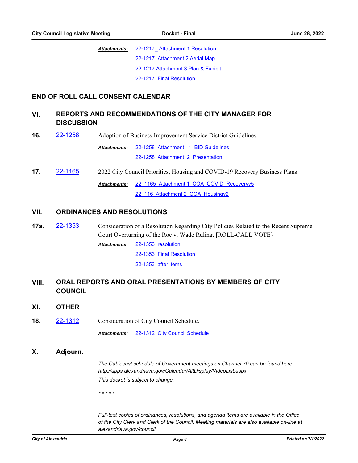[22-1217\\_ Attachment 1 Resolution](http://alexandria.legistar.com/gateway.aspx?M=F&ID=5b175ccd-0cfe-4603-a718-68e602503e6b.pdf) [22-1217\\_Attachment 2 Aerial Map](http://alexandria.legistar.com/gateway.aspx?M=F&ID=20bedadd-45ca-48c6-a933-48bd446f3eec.pdf) [22-1217 Attachment 3 Plan & Exhibit](http://alexandria.legistar.com/gateway.aspx?M=F&ID=7b5f5bf9-0ab1-4665-86b8-5a07f4fe7827.pdf) [22-1217\\_Final Resolution](http://alexandria.legistar.com/gateway.aspx?M=F&ID=6ffe2ab4-1172-40b1-814a-302bdc8e4f7e.pdf) *Attachments:*

## **END OF ROLL CALL CONSENT CALENDAR**

# **VI. REPORTS AND RECOMMENDATIONS OF THE CITY MANAGER FOR DISCUSSION**

**16.** [22-1258](http://alexandria.legistar.com/gateway.aspx?m=l&id=/matter.aspx?key=14856) Adoption of Business Improvement Service District Guidelines.

22-1258 Attachment 1 BID Guidelines [22-1258\\_Attachment\\_2\\_Presentation](http://alexandria.legistar.com/gateway.aspx?M=F&ID=84310963-9d83-4f88-b4de-49a47d8b5e4a.pdf) *Attachments:*

**17. [22-1165](http://alexandria.legistar.com/gateway.aspx?m=l&id=/matter.aspx?key=14763)** 2022 City Council Priorities, Housing and COVID-19 Recovery Business Plans.

[22\\_1165\\_Attachment 1\\_COA\\_COVID\\_Recoveryv5](http://alexandria.legistar.com/gateway.aspx?M=F&ID=f34d05c6-a0ec-4284-a6ee-ef49d107fc88.pdf) [22\\_116\\_Attachment 2\\_COA\\_Housingv2](http://alexandria.legistar.com/gateway.aspx?M=F&ID=ef138ae2-59ad-4ba1-81fa-c87902b14e6d.pdf) *Attachments:*

## **VII. ORDINANCES AND RESOLUTIONS**

**17a.** [22-1353](http://alexandria.legistar.com/gateway.aspx?m=l&id=/matter.aspx?key=14951) Consideration of a Resolution Regarding City Policies Related to the Recent Supreme Court Overturning of the Roe v. Wade Ruling. [ROLL-CALL VOTE} [22-1353\\_resolution](http://alexandria.legistar.com/gateway.aspx?M=F&ID=e0c65b20-ea8a-4939-8b23-7cd025cdcbe6.pdf) *Attachments:*

22-1353 Final Resolution

[22-1353\\_after items](http://alexandria.legistar.com/gateway.aspx?M=F&ID=54d8dd49-5d26-4d16-924a-07d453291a91.pdf)

## **VIII. ORAL REPORTS AND ORAL PRESENTATIONS BY MEMBERS OF CITY COUNCIL**

- **XI. OTHER**
- **18.** [22-1312](http://alexandria.legistar.com/gateway.aspx?m=l&id=/matter.aspx?key=14910) Consideration of City Council Schedule.

*Attachments:* [22-1312\\_City Council Schedule](http://alexandria.legistar.com/gateway.aspx?M=F&ID=a45cfa5a-5ddb-4684-beee-52de7ff050de.pdf)

**X. Adjourn.**

*The Cablecast schedule of Government meetings on Channel 70 can be found here: http://apps.alexandriava.gov/Calendar/AltDisplay/VideoList.aspx This docket is subject to change.*

*\* \* \* \* \**

*Full-text copies of ordinances, resolutions, and agenda items are available in the Office of the City Clerk and Clerk of the Council. Meeting materials are also available on-line at alexandriava.gov/council.*